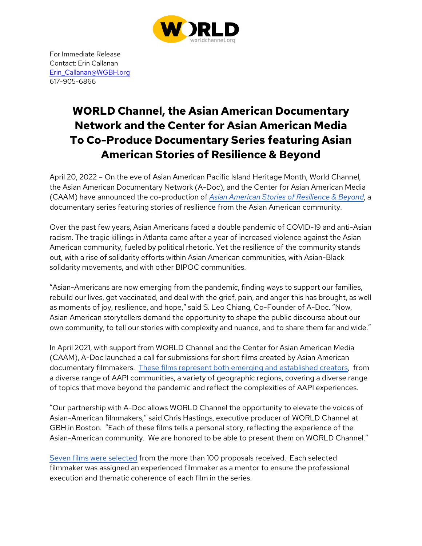

For Immediate Release Contact: Erin Callanan Erin\_Callanan@WGBH.org 617-905-6866

# **WORLD Channel, the Asian American Documentary Network and the Center for Asian American Media To Co-Produce Documentary Series featuring Asian American Stories of Resilience & Beyond**

April 20, 2022 – On the eve of Asian American Pacific Island Heritage Month, World Channel, the Asian American Documentary Network (A-Doc), and the Center for Asian American Media (CAAM) have announced the co-production of *Asian American Stories of Resilience & Beyond*, a documentary series featuring stories of resilience from the Asian American community.

Over the past few years, Asian Americans faced a double pandemic of COVID-19 and anti-Asian racism. The tragic killings in Atlanta came after a year of increased violence against the Asian American community, fueled by political rhetoric. Yet the resilience of the community stands out, with a rise of solidarity efforts within Asian American communities, with Asian-Black solidarity movements, and with other BIPOC communities.

"Asian-Americans are now emerging from the pandemic, finding ways to support our families, rebuild our lives, get vaccinated, and deal with the grief, pain, and anger this has brought, as well as moments of joy, resilience, and hope," said S. Leo Chiang, Co-Founder of A-Doc. "Now, Asian American storytellers demand the opportunity to shape the public discourse about our own community, to tell our stories with complexity and nuance, and to share them far and wide."

In April 2021, with support from WORLD Channel and the Center for Asian American Media (CAAM), A-Doc launched a call for submissions for short films created by Asian American documentary filmmakers. These films represent both emerging and established creators, from a diverse range of AAPI communities, a variety of geographic regions, covering a diverse range of topics that move beyond the pandemic and reflect the complexities of AAPI experiences.

"Our partnership with A-Doc allows WORLD Channel the opportunity to elevate the voices of Asian-American filmmakers," said Chris Hastings, executive producer of WORLD Channel at GBH in Boston. "Each of these films tells a personal story, reflecting the experience of the Asian-American community. We are honored to be able to present them on WORLD Channel."

Seven films were selected from the more than 100 proposals received. Each selected filmmaker was assigned an experienced filmmaker as a mentor to ensure the professional execution and thematic coherence of each film in the series.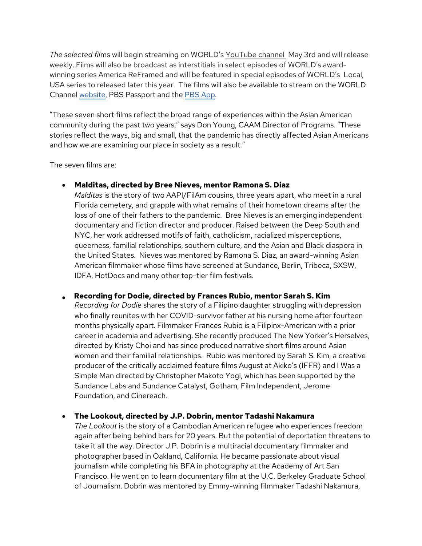*The selected fil*ms will begin streaming on WORLD's YouTube channel May 3rd and will release weekly. Films will also be broadcast as interstitials in select episodes of WORLD's awardwinning series America ReFramed and will be featured in special episodes of WORLD's Local, USA series to released later this year. The films will also be available to stream on the WORLD Channel website, PBS Passport and the PBS App.

"These seven short films reflect the broad range of experiences within the Asian American community during the past two years," says Don Young, CAAM Director of Programs. "These stories reflect the ways, big and small, that the pandemic has directly affected Asian Americans and how we are examining our place in society as a result."

The seven films are:

• **Malditas, directed by Bree Nieves, mentor Ramona S. Diaz**

*Malditas* is the story of two AAPI/FilAm cousins, three years apart, who meet in a rural Florida cemetery, and grapple with what remains of their hometown dreams after the loss of one of their fathers to the pandemic. Bree Nieves is an emerging independent documentary and fiction director and producer. Raised between the Deep South and NYC, her work addressed motifs of faith, catholicism, racialized misperceptions, queerness, familial relationships, southern culture, and the Asian and Black diaspora in the United States. Nieves was mentored by Ramona S. Diaz, an award-winning Asian American filmmaker whose films have screened at Sundance, Berlin, Tribeca, SXSW, IDFA, HotDocs and many other top-tier film festivals.

• **Recording for Dodie, directed by Frances Rubio, mentor Sarah S. Kim** *Recording for Dodie* shares the story of a Filipino daughter struggling with depression who finally reunites with her COVID-survivor father at his nursing home after fourteen months physically apart. Filmmaker Frances Rubio is a Filipinx-American with a prior career in academia and advertising. She recently produced The New Yorker's Herselves, directed by Kristy Choi and has since produced narrative short films around Asian women and their familial relationships. Rubio was mentored by Sarah S. Kim, a creative producer of the critically acclaimed feature films August at Akiko's (IFFR) and I Was a Simple Man directed by Christopher Makoto Yogi, which has been supported by the Sundance Labs and Sundance Catalyst, Gotham, Film Independent, Jerome Foundation, and Cinereach.

## • **The Lookout, directed by J.P. Dobrin, mentor Tadashi Nakamura**

*The Lookout* is the story of a Cambodian American refugee who experiences freedom again after being behind bars for 20 years. But the potential of deportation threatens to take it all the way. Director J.P. Dobrin is a multiracial documentary filmmaker and photographer based in Oakland, California. He became passionate about visual journalism while completing his BFA in photography at the Academy of Art San Francisco. He went on to learn documentary film at the U.C. Berkeley Graduate School of Journalism. Dobrin was mentored by Emmy-winning filmmaker Tadashi Nakamura,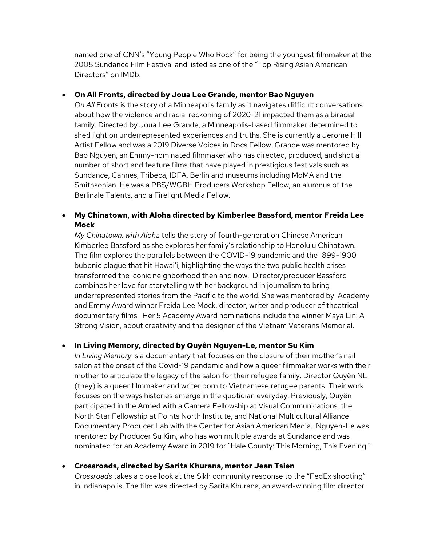named one of CNN's "Young People Who Rock" for being the youngest filmmaker at the 2008 Sundance Film Festival and listed as one of the "Top Rising Asian American Directors" on IMDb.

#### • **On All Fronts, directed by Joua Lee Grande, mentor Bao Nguyen**

*On All* Fronts is the story of a Minneapolis family as it navigates difficult conversations about how the violence and racial reckoning of 2020-21 impacted them as a biracial family. Directed by Joua Lee Grande, a Minneapolis-based filmmaker determined to shed light on underrepresented experiences and truths. She is currently a Jerome Hill Artist Fellow and was a 2019 Diverse Voices in Docs Fellow. Grande was mentored by Bao Nguyen, an Emmy-nominated filmmaker who has directed, produced, and shot a number of short and feature films that have played in prestigious festivals such as Sundance, Cannes, Tribeca, IDFA, Berlin and museums including MoMA and the Smithsonian. He was a PBS/WGBH Producers Workshop Fellow, an alumnus of the Berlinale Talents, and a Firelight Media Fellow.

# • **My Chinatown, with Aloha directed by Kimberlee Bassford, mentor Freida Lee Mock**

*My Chinatown, with Aloha* tells the story of fourth-generation Chinese American Kimberlee Bassford as she explores her family's relationship to Honolulu Chinatown. The film explores the parallels between the COVID-19 pandemic and the 1899-1900 bubonic plague that hit Hawai'i, highlighting the ways the two public health crises transformed the iconic neighborhood then and now. Director/producer Bassford combines her love for storytelling with her background in journalism to bring underrepresented stories from the Pacific to the world. She was mentored by Academy and Emmy Award winner Freida Lee Mock, director, writer and producer of theatrical documentary films. Her 5 Academy Award nominations include the winner Maya Lin: A Strong Vision, about creativity and the designer of the Vietnam Veterans Memorial.

## • **In Living Memory, directed by Quyên Nguyen-Le, mentor Su Kim**

*In Living Memory* is a documentary that focuses on the closure of their mother's nail salon at the onset of the Covid-19 pandemic and how a queer filmmaker works with their mother to articulate the legacy of the salon for their refugee family. Director Quyên NL (they) is a queer filmmaker and writer born to Vietnamese refugee parents. Their work focuses on the ways histories emerge in the quotidian everyday. Previously, Quyên participated in the Armed with a Camera Fellowship at Visual Communications, the North Star Fellowship at Points North Institute, and National Multicultural Alliance Documentary Producer Lab with the Center for Asian American Media. Nguyen-Le was mentored by Producer Su Kim, who has won multiple awards at Sundance and was nominated for an Academy Award in 2019 for "Hale County: This Morning, This Evening."

#### • **Crossroads, directed by Sarita Khurana, mentor Jean Tsien**

*Crossroads* takes a close look at the Sikh community response to the "FedEx shooting" in Indianapolis. The film was directed by Sarita Khurana, an award-winning film director